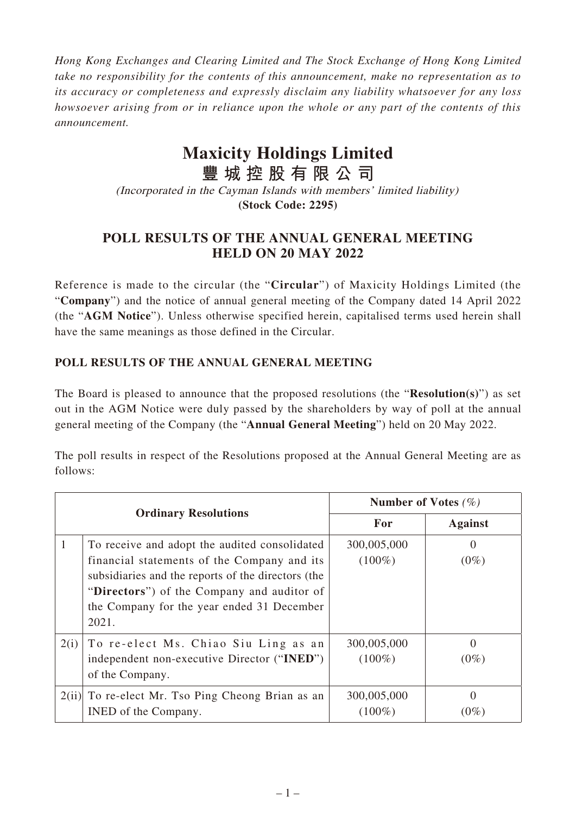*Hong Kong Exchanges and Clearing Limited and The Stock Exchange of Hong Kong Limited take no responsibility for the contents of this announcement, make no representation as to its accuracy or completeness and expressly disclaim any liability whatsoever for any loss howsoever arising from or in reliance upon the whole or any part of the contents of this announcement.*

## **Maxicity Holdings Limited**

**豐城控股有限公司** (Incorporated in the Cayman Islands with members' limited liability) **(Stock Code: 2295)**

## **POLL RESULTS OF THE ANNUAL GENERAL MEETING HELD ON 20 MAY 2022**

Reference is made to the circular (the "**Circular**") of Maxicity Holdings Limited (the "**Company**") and the notice of annual general meeting of the Company dated 14 April 2022 (the "**AGM Notice**"). Unless otherwise specified herein, capitalised terms used herein shall have the same meanings as those defined in the Circular.

## **POLL RESULTS OF THE ANNUAL GENERAL MEETING**

The Board is pleased to announce that the proposed resolutions (the "**Resolution(s)**") as set out in the AGM Notice were duly passed by the shareholders by way of poll at the annual general meeting of the Company (the "**Annual General Meeting**") held on 20 May 2022.

The poll results in respect of the Resolutions proposed at the Annual General Meeting are as follows:

| <b>Ordinary Resolutions</b> |                                                                                                                                                                                                                                                         | Number of Votes $(\%)$   |                     |
|-----------------------------|---------------------------------------------------------------------------------------------------------------------------------------------------------------------------------------------------------------------------------------------------------|--------------------------|---------------------|
|                             |                                                                                                                                                                                                                                                         | For                      | <b>Against</b>      |
|                             | To receive and adopt the audited consolidated<br>financial statements of the Company and its<br>subsidiaries and the reports of the directors (the<br>"Directors") of the Company and auditor of<br>the Company for the year ended 31 December<br>2021. | 300,005,000<br>$(100\%)$ | $\theta$<br>$(0\%)$ |
| 2(i)                        | To re-elect Ms. Chiao Siu Ling as an<br>independent non-executive Director ("INED")<br>of the Company.                                                                                                                                                  | 300,005,000<br>$(100\%)$ | $\theta$<br>$(0\%)$ |
| 2(ii)                       | To re-elect Mr. Tso Ping Cheong Brian as an<br>INED of the Company.                                                                                                                                                                                     | 300,005,000<br>$(100\%)$ | $\Omega$<br>$(0\%)$ |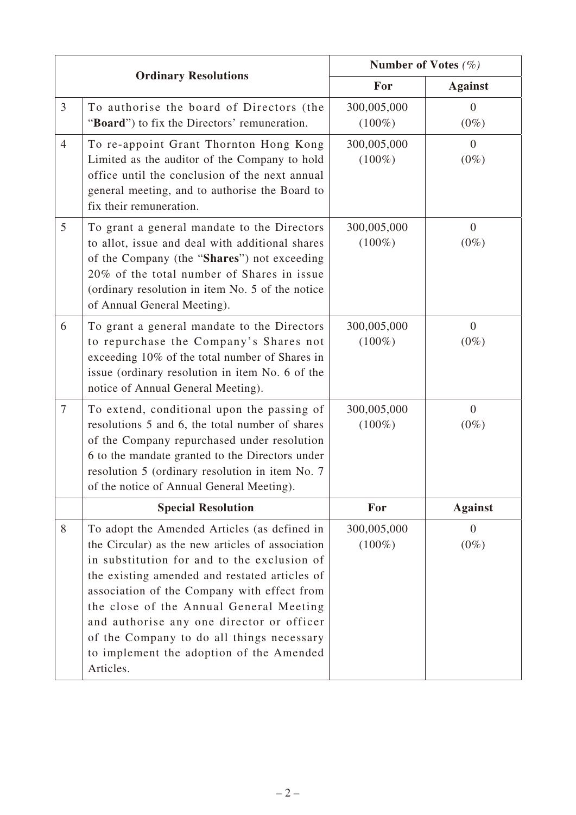| <b>Ordinary Resolutions</b> |                                                                                                                                                                                                                                                                                                                                                                                                                                               | Number of Votes $(\%)$   |                           |
|-----------------------------|-----------------------------------------------------------------------------------------------------------------------------------------------------------------------------------------------------------------------------------------------------------------------------------------------------------------------------------------------------------------------------------------------------------------------------------------------|--------------------------|---------------------------|
|                             |                                                                                                                                                                                                                                                                                                                                                                                                                                               | For                      | <b>Against</b>            |
| $\overline{3}$              | To authorise the board of Directors (the<br>"Board") to fix the Directors' remuneration.                                                                                                                                                                                                                                                                                                                                                      | 300,005,000<br>$(100\%)$ | $\Omega$<br>$(0\%)$       |
| $\overline{4}$              | To re-appoint Grant Thornton Hong Kong<br>Limited as the auditor of the Company to hold<br>office until the conclusion of the next annual<br>general meeting, and to authorise the Board to<br>fix their remuneration.                                                                                                                                                                                                                        | 300,005,000<br>$(100\%)$ | $\overline{0}$<br>$(0\%)$ |
| $\mathfrak{S}$              | To grant a general mandate to the Directors<br>to allot, issue and deal with additional shares<br>of the Company (the "Shares") not exceeding<br>20% of the total number of Shares in issue<br>(ordinary resolution in item No. 5 of the notice<br>of Annual General Meeting).                                                                                                                                                                | 300,005,000<br>$(100\%)$ | $\overline{0}$<br>$(0\%)$ |
| 6                           | To grant a general mandate to the Directors<br>to repurchase the Company's Shares not<br>exceeding 10% of the total number of Shares in<br>issue (ordinary resolution in item No. 6 of the<br>notice of Annual General Meeting).                                                                                                                                                                                                              | 300,005,000<br>$(100\%)$ | $\overline{0}$<br>$(0\%)$ |
| $\overline{7}$              | To extend, conditional upon the passing of<br>resolutions 5 and 6, the total number of shares<br>of the Company repurchased under resolution<br>6 to the mandate granted to the Directors under<br>resolution 5 (ordinary resolution in item No. 7)<br>of the notice of Annual General Meeting).                                                                                                                                              | 300,005,000<br>$(100\%)$ | $\mathbf{0}$<br>$(0\%)$   |
|                             | <b>Special Resolution</b>                                                                                                                                                                                                                                                                                                                                                                                                                     | For                      | <b>Against</b>            |
| 8                           | To adopt the Amended Articles (as defined in<br>the Circular) as the new articles of association<br>in substitution for and to the exclusion of<br>the existing amended and restated articles of<br>association of the Company with effect from<br>the close of the Annual General Meeting<br>and authorise any one director or officer<br>of the Company to do all things necessary<br>to implement the adoption of the Amended<br>Articles. | 300,005,000<br>$(100\%)$ | $\overline{0}$<br>$(0\%)$ |